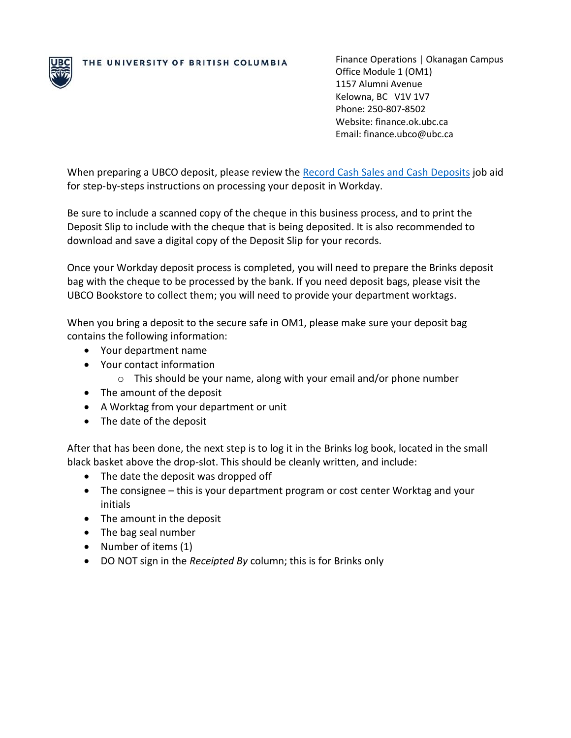

THE UNIVERSITY OF BRITISH COLUMBIA

Finance Operations | Okanagan Campus Office Module 1 (OM1) 1157 Alumni Avenue Kelowna, BC V1V 1V7 Phone: 250-807-8502 Website: finance.ok.ubc.ca Email: finance.ubco@ubc.ca

When preparing a UBCO deposit, please review the [Record Cash Sales and Cash Deposits](https://ubc.service-now.com/selfservice?id=kb_article&sys_id=bebf4e8e1ba2c5505edd43b4bd4bcb1b&table=kb_knowledge) job aid for step-by-steps instructions on processing your deposit in Workday.

Be sure to include a scanned copy of the cheque in this business process, and to print the Deposit Slip to include with the cheque that is being deposited. It is also recommended to download and save a digital copy of the Deposit Slip for your records.

Once your Workday deposit process is completed, you will need to prepare the Brinks deposit bag with the cheque to be processed by the bank. If you need deposit bags, please visit the UBCO Bookstore to collect them; you will need to provide your department worktags.

When you bring a deposit to the secure safe in OM1, please make sure your deposit bag contains the following information:

- Your department name
- Your contact information
	- o This should be your name, along with your email and/or phone number
- The amount of the deposit
- A Worktag from your department or unit
- The date of the deposit

After that has been done, the next step is to log it in the Brinks log book, located in the small black basket above the drop-slot. This should be cleanly written, and include:

- The date the deposit was dropped off
- The consignee this is your department program or cost center Worktag and your initials
- The amount in the deposit
- The bag seal number
- Number of items (1)
- DO NOT sign in the *Receipted By* column; this is for Brinks only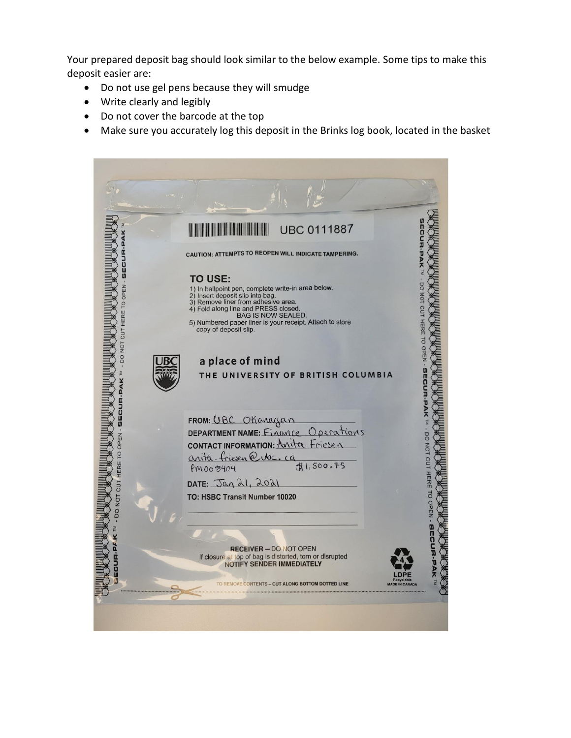Your prepared deposit bag should look similar to the below example. Some tips to make this deposit easier are:

- Do not use gel pens because they will smudge
- Write clearly and legibly
- Do not cover the barcode at the top
- Make sure you accurately log this deposit in the Brinks log book, located in the basket

|                                      | <b>UBC 0111887</b>                                                                                                                                                                                                                                                                                        |
|--------------------------------------|-----------------------------------------------------------------------------------------------------------------------------------------------------------------------------------------------------------------------------------------------------------------------------------------------------------|
|                                      | CAUTION: ATTEMPTS TO REOPEN WILL INDICATE TAMPERING.                                                                                                                                                                                                                                                      |
| w<br>0<br>HERE TO OPEN<br>DO NOT CUT | <b>TO USE:</b><br>1) In ballpoint pen, complete write-in area below.<br>2) Insert deposit slip into bag.<br>3) Remove liner from adhesive area.<br>4) Fold along line and PRESS closed.<br><b>BAG IS NOW SEALED.</b><br>5) Numbered paper liner is your receipt. Attach to store<br>copy of deposit slip. |
|                                      | CUT HERE TO OPEN - BECURIPAK T - DO NOT CUT HERE TO OPEN<br>a place of mind<br>THE UNIVERSITY OF BRITISH COLUMBIA                                                                                                                                                                                         |
|                                      | FROM: UBC OKanagan                                                                                                                                                                                                                                                                                        |
| Z<br>D<br>P<br>E<br>N                | DEPARTMENT NAME: Finance Operations                                                                                                                                                                                                                                                                       |
|                                      | anita-friesen@ubc.ca<br>51,500.75<br>PM003404                                                                                                                                                                                                                                                             |
|                                      | DATE: Jan 21, 2021                                                                                                                                                                                                                                                                                        |
| DO NOT CUT HERE T                    | TO: HSBC Transit Number 10020                                                                                                                                                                                                                                                                             |
|                                      | <b>RECEIVER - DO NOT OPEN</b>                                                                                                                                                                                                                                                                             |
| ECUR-PA                              | <b>SECUR.PAK</b><br>If closure at top of bag is distorted, torn or disrupted<br><b>NOTIFY SENDER IMMEDIATELY</b>                                                                                                                                                                                          |
| ወ                                    | <b>EMOVE CONTENTS - CUT ALONG BOTTOM DOTTED LINE</b>                                                                                                                                                                                                                                                      |